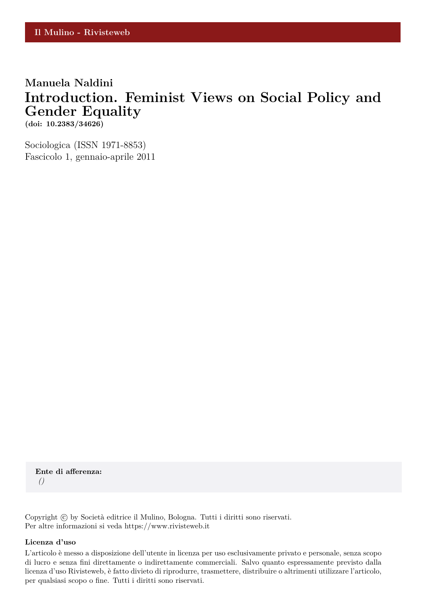## **Manuela Naldini Introduction. Feminist Views on Social Policy and Gender Equality**

**(doi: 10.2383/34626)**

Sociologica (ISSN 1971-8853) Fascicolo 1, gennaio-aprile 2011

**Ente di afferenza:** *()*

Copyright © by Società editrice il Mulino, Bologna. Tutti i diritti sono riservati. Per altre informazioni si veda https://www.rivisteweb.it

#### **Licenza d'uso**

L'articolo è messo a disposizione dell'utente in licenza per uso esclusivamente privato e personale, senza scopo di lucro e senza fini direttamente o indirettamente commerciali. Salvo quanto espressamente previsto dalla licenza d'uso Rivisteweb, è fatto divieto di riprodurre, trasmettere, distribuire o altrimenti utilizzare l'articolo, per qualsiasi scopo o fine. Tutti i diritti sono riservati.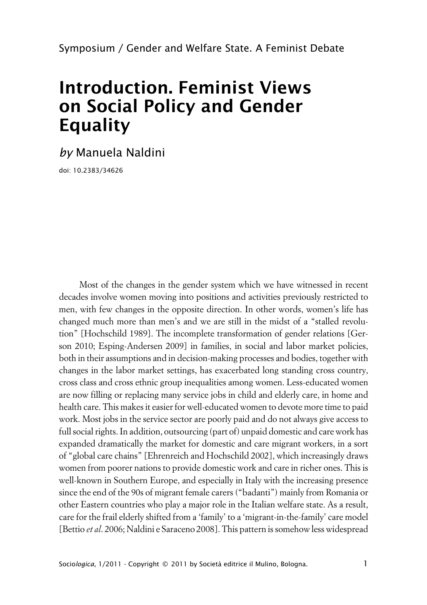# **Introduction. Feminist Views on Social Policy and Gender Equality**

*by* Manuela Naldini

doi: 10.2383/34626

Most of the changes in the gender system which we have witnessed in recent decades involve women moving into positions and activities previously restricted to men, with few changes in the opposite direction. In other words, women's life has changed much more than men's and we are still in the midst of a "stalled revolution" [Hochschild 1989]. The incomplete transformation of gender relations [Gerson 2010; Esping-Andersen 2009] in families, in social and labor market policies, both in their assumptions and in decision-making processes and bodies, together with changes in the labor market settings, has exacerbated long standing cross country, cross class and cross ethnic group inequalities among women. Less-educated women are now filling or replacing many service jobs in child and elderly care, in home and health care. This makes it easier for well-educated women to devote more time to paid work. Most jobs in the service sector are poorly paid and do not always give access to full social rights. In addition, outsourcing (part of) unpaid domestic and care work has expanded dramatically the market for domestic and care migrant workers, in a sort of "global care chains" [Ehrenreich and Hochschild 2002], which increasingly draws women from poorer nations to provide domestic work and care in richer ones. This is well-known in Southern Europe, and especially in Italy with the increasing presence since the end of the 90s of migrant female carers ("badanti") mainly from Romania or other Eastern countries who play a major role in the Italian welfare state. As a result, care for the frail elderly shifted from a 'family' to a 'migrant-in-the-family' care model [Bettio *et al*. 2006; Naldini e Saraceno 2008]. This pattern is somehow less widespread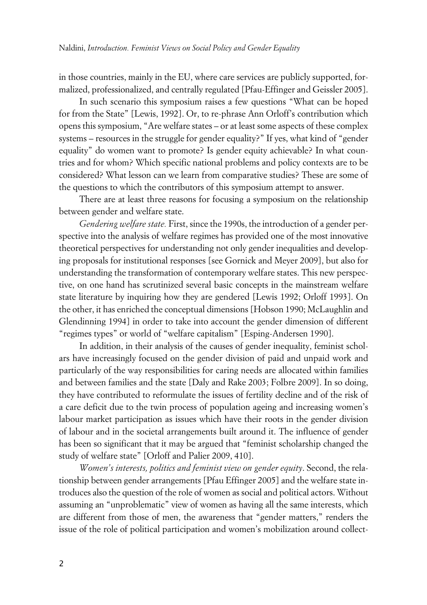in those countries, mainly in the EU, where care services are publicly supported, formalized, professionalized, and centrally regulated [Pfau-Effinger and Geissler 2005].

In such scenario this symposium raises a few questions "What can be hoped for from the State" [Lewis, 1992]. Or, to re-phrase Ann Orloff's contribution which opens this symposium, "Are welfare states – or at least some aspects of these complex systems – resources in the struggle for gender equality?" If yes, what kind of "gender equality" do women want to promote? Is gender equity achievable? In what countries and for whom? Which specific national problems and policy contexts are to be considered? What lesson can we learn from comparative studies? These are some of the questions to which the contributors of this symposium attempt to answer.

There are at least three reasons for focusing a symposium on the relationship between gender and welfare state.

*Gendering welfare state.* First, since the 1990s, the introduction of a gender perspective into the analysis of welfare regimes has provided one of the most innovative theoretical perspectives for understanding not only gender inequalities and developing proposals for institutional responses [see Gornick and Meyer 2009], but also for understanding the transformation of contemporary welfare states. This new perspective, on one hand has scrutinized several basic concepts in the mainstream welfare state literature by inquiring how they are gendered [Lewis 1992; Orloff 1993]. On the other, it has enriched the conceptual dimensions [Hobson 1990; McLaughlin and Glendinning 1994] in order to take into account the gender dimension of different "regimes types" or world of "welfare capitalism" [Esping-Andersen 1990].

In addition, in their analysis of the causes of gender inequality, feminist scholars have increasingly focused on the gender division of paid and unpaid work and particularly of the way responsibilities for caring needs are allocated within families and between families and the state [Daly and Rake 2003; Folbre 2009]. In so doing, they have contributed to reformulate the issues of fertility decline and of the risk of a care deficit due to the twin process of population ageing and increasing women's labour market participation as issues which have their roots in the gender division of labour and in the societal arrangements built around it. The influence of gender has been so significant that it may be argued that "feminist scholarship changed the study of welfare state" [Orloff and Palier 2009, 410].

*Women's interests, politics and feminist view on gender equity*. Second, the relationship between gender arrangements [Pfau Effinger 2005] and the welfare state introduces also the question of the role of women as social and political actors. Without assuming an "unproblematic" view of women as having all the same interests, which are different from those of men, the awareness that "gender matters," renders the issue of the role of political participation and women's mobilization around collect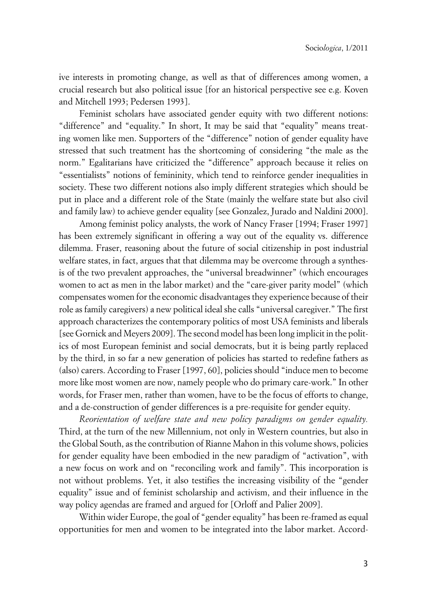ive interests in promoting change, as well as that of differences among women, a crucial research but also political issue [for an historical perspective see e.g. Koven and Mitchell 1993; Pedersen 1993].

Feminist scholars have associated gender equity with two different notions: "difference" and "equality." In short, It may be said that "equality" means treating women like men. Supporters of the "difference" notion of gender equality have stressed that such treatment has the shortcoming of considering "the male as the norm." Egalitarians have criticized the "difference" approach because it relies on "essentialists" notions of femininity, which tend to reinforce gender inequalities in society. These two different notions also imply different strategies which should be put in place and a different role of the State (mainly the welfare state but also civil and family law) to achieve gender equality [see Gonzalez, Jurado and Naldini 2000].

Among feminist policy analysts, the work of Nancy Fraser [1994; Fraser 1997] has been extremely significant in offering a way out of the equality vs. difference dilemma. Fraser, reasoning about the future of social citizenship in post industrial welfare states, in fact, argues that that dilemma may be overcome through a synthesis of the two prevalent approaches, the "universal breadwinner" (which encourages women to act as men in the labor market) and the "care-giver parity model" (which compensates women for the economic disadvantages they experience because of their role as family caregivers) a new political ideal she calls "universal caregiver." The first approach characterizes the contemporary politics of most USA feminists and liberals [see Gornick and Meyers 2009]. The second model has been long implicit in the politics of most European feminist and social democrats, but it is being partly replaced by the third, in so far a new generation of policies has started to redefine fathers as (also) carers. According to Fraser [1997, 60], policies should "induce men to become more like most women are now, namely people who do primary care-work." In other words, for Fraser men, rather than women, have to be the focus of efforts to change, and a de-construction of gender differences is a pre-requisite for gender equity.

*Reorientation of welfare state and new policy paradigms on gender equality.* Third, at the turn of the new Millennium, not only in Western countries, but also in the Global South, as the contribution of Rianne Mahon in this volume shows, policies for gender equality have been embodied in the new paradigm of "activation", with a new focus on work and on "reconciling work and family". This incorporation is not without problems. Yet, it also testifies the increasing visibility of the "gender equality" issue and of feminist scholarship and activism, and their influence in the way policy agendas are framed and argued for [Orloff and Palier 2009].

Within wider Europe, the goal of "gender equality" has been re-framed as equal opportunities for men and women to be integrated into the labor market. Accord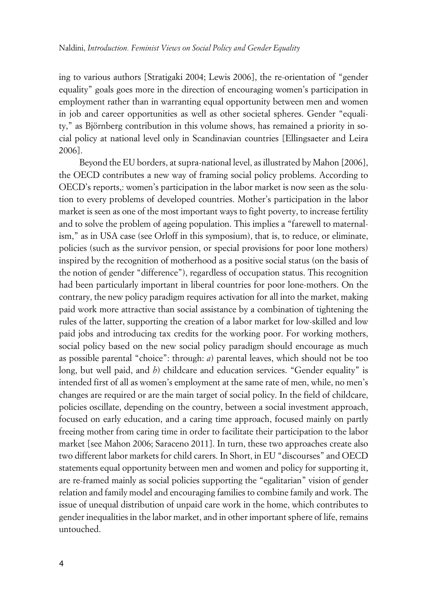ing to various authors [Stratigaki 2004; Lewis 2006], the re-orientation of "gender equality" goals goes more in the direction of encouraging women's participation in employment rather than in warranting equal opportunity between men and women in job and career opportunities as well as other societal spheres. Gender "equality," as Björnberg contribution in this volume shows, has remained a priority in social policy at national level only in Scandinavian countries [Ellingsaeter and Leira 2006].

Beyond the EU borders, at supra-national level, as illustrated by Mahon [2006], the OECD contributes a new way of framing social policy problems. According to OECD's reports,: women's participation in the labor market is now seen as the solution to every problems of developed countries. Mother's participation in the labor market is seen as one of the most important ways to fight poverty, to increase fertility and to solve the problem of ageing population. This implies a "farewell to maternalism," as in USA case (see Orloff in this symposium), that is, to reduce, or eliminate, policies (such as the survivor pension, or special provisions for poor lone mothers) inspired by the recognition of motherhood as a positive social status (on the basis of the notion of gender "difference"), regardless of occupation status. This recognition had been particularly important in liberal countries for poor lone-mothers. On the contrary, the new policy paradigm requires activation for all into the market, making paid work more attractive than social assistance by a combination of tightening the rules of the latter, supporting the creation of a labor market for low-skilled and low paid jobs and introducing tax credits for the working poor. For working mothers, social policy based on the new social policy paradigm should encourage as much as possible parental "choice": through: *a*) parental leaves, which should not be too long, but well paid, and *b*) childcare and education services. "Gender equality" is intended first of all as women's employment at the same rate of men, while, no men's changes are required or are the main target of social policy. In the field of childcare, policies oscillate, depending on the country, between a social investment approach, focused on early education, and a caring time approach, focused mainly on partly freeing mother from caring time in order to facilitate their participation to the labor market [see Mahon 2006; Saraceno 2011]. In turn, these two approaches create also two different labor markets for child carers. In Short, in EU "discourses" and OECD statements equal opportunity between men and women and policy for supporting it, are re-framed mainly as social policies supporting the "egalitarian" vision of gender relation and family model and encouraging families to combine family and work. The issue of unequal distribution of unpaid care work in the home, which contributes to gender inequalities in the labor market, and in other important sphere of life, remains untouched.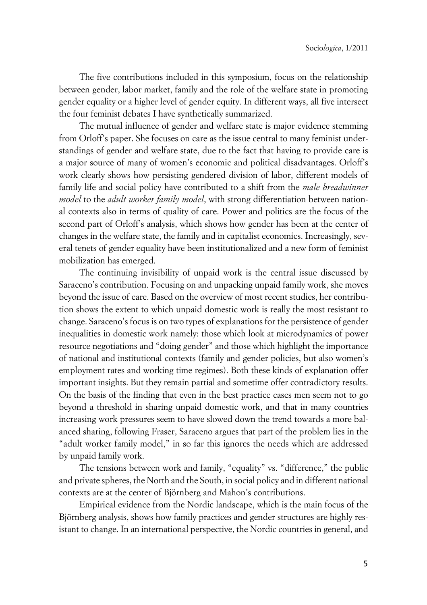The five contributions included in this symposium, focus on the relationship between gender, labor market, family and the role of the welfare state in promoting gender equality or a higher level of gender equity. In different ways, all five intersect the four feminist debates I have synthetically summarized.

The mutual influence of gender and welfare state is major evidence stemming from Orloff's paper. She focuses on care as the issue central to many feminist understandings of gender and welfare state, due to the fact that having to provide care is a major source of many of women's economic and political disadvantages. Orloff's work clearly shows how persisting gendered division of labor, different models of family life and social policy have contributed to a shift from the *male breadwinner model* to the *adult worker family model*, with strong differentiation between national contexts also in terms of quality of care. Power and politics are the focus of the second part of Orloff's analysis, which shows how gender has been at the center of changes in the welfare state, the family and in capitalist economics. Increasingly, several tenets of gender equality have been institutionalized and a new form of feminist mobilization has emerged.

The continuing invisibility of unpaid work is the central issue discussed by Saraceno's contribution. Focusing on and unpacking unpaid family work, she moves beyond the issue of care. Based on the overview of most recent studies, her contribution shows the extent to which unpaid domestic work is really the most resistant to change. Saraceno's focus is on two types of explanations for the persistence of gender inequalities in domestic work namely: those which look at microdynamics of power resource negotiations and "doing gender" and those which highlight the importance of national and institutional contexts (family and gender policies, but also women's employment rates and working time regimes). Both these kinds of explanation offer important insights. But they remain partial and sometime offer contradictory results. On the basis of the finding that even in the best practice cases men seem not to go beyond a threshold in sharing unpaid domestic work, and that in many countries increasing work pressures seem to have slowed down the trend towards a more balanced sharing, following Fraser, Saraceno argues that part of the problem lies in the "adult worker family model," in so far this ignores the needs which are addressed by unpaid family work.

The tensions between work and family, "equality" vs. "difference," the public and private spheres, the North and the South, in social policy and in different national contexts are at the center of Björnberg and Mahon's contributions.

Empirical evidence from the Nordic landscape, which is the main focus of the Björnberg analysis, shows how family practices and gender structures are highly resistant to change. In an international perspective, the Nordic countries in general, and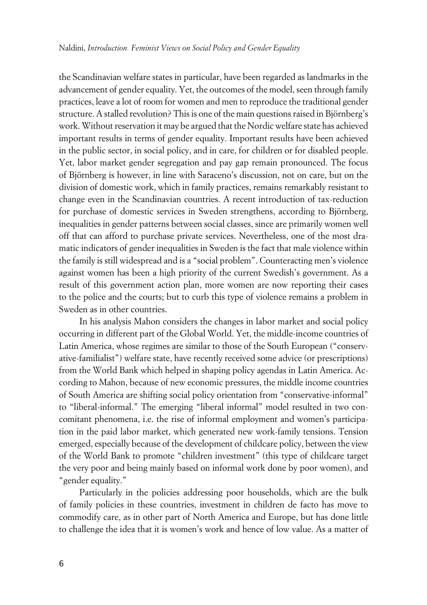the Scandinavian welfare states in particular, have been regarded as landmarks in the advancement of gender equality. Yet, the outcomes of the model, seen through family practices, leave a lot of room for women and men to reproduce the traditional gender structure. A stalled revolution? This is one of the main questions raised in Björnberg's work. Without reservation it may be argued that the Nordic welfare state has achieved important results in terms of gender equality. Important results have been achieved in the public sector, in social policy, and in care, for children or for disabled people. Yet, labor market gender segregation and pay gap remain pronounced. The focus of Björnberg is however, in line with Saraceno's discussion, not on care, but on the division of domestic work, which in family practices, remains remarkably resistant to change even in the Scandinavian countries. A recent introduction of tax-reduction for purchase of domestic services in Sweden strengthens, according to Björnberg, inequalities in gender patterns between social classes, since are primarily women well off that can afford to purchase private services. Nevertheless, one of the most dramatic indicators of gender inequalities in Sweden is the fact that male violence within the family is still widespread and is a "social problem". Counteracting men's violence against women has been a high priority of the current Swedish's government. As a result of this government action plan, more women are now reporting their cases to the police and the courts; but to curb this type of violence remains a problem in Sweden as in other countries.

In his analysis Mahon considers the changes in labor market and social policy occurring in different part of the Global World. Yet, the middle-income countries of Latin America, whose regimes are similar to those of the South European ("conservative-familialist") welfare state, have recently received some advice (or prescriptions) from the World Bank which helped in shaping policy agendas in Latin America. According to Mahon, because of new economic pressures, the middle income countries of South America are shifting social policy orientation from "conservative-informal" to "liberal-informal." The emerging "liberal informal" model resulted in two concomitant phenomena, i.e. the rise of informal employment and women's participation in the paid labor market, which generated new work-family tensions. Tension emerged, especially because of the development of childcare policy, between the view of the World Bank to promote "children investment" (this type of childcare target the very poor and being mainly based on informal work done by poor women), and "gender equality."

Particularly in the policies addressing poor households, which are the bulk of family policies in these countries, investment in children de facto has move to commodify care, as in other part of North America and Europe, but has done little to challenge the idea that it is women's work and hence of low value. As a matter of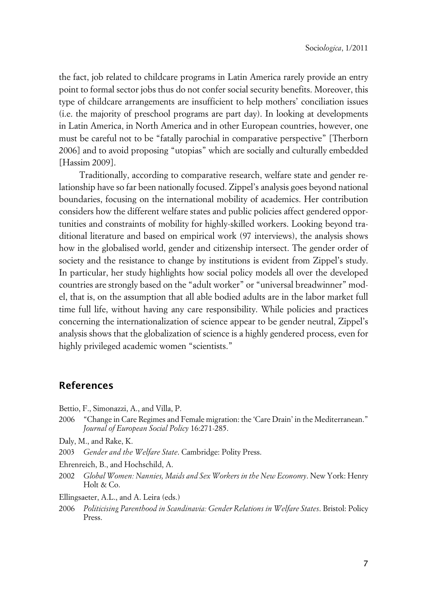the fact, job related to childcare programs in Latin America rarely provide an entry point to formal sector jobs thus do not confer social security benefits. Moreover, this type of childcare arrangements are insufficient to help mothers' conciliation issues (i.e. the majority of preschool programs are part day). In looking at developments in Latin America, in North America and in other European countries, however, one must be careful not to be "fatally parochial in comparative perspective" [Therborn 2006] and to avoid proposing "utopias" which are socially and culturally embedded [Hassim 2009].

Traditionally, according to comparative research, welfare state and gender relationship have so far been nationally focused. Zippel's analysis goes beyond national boundaries, focusing on the international mobility of academics. Her contribution considers how the different welfare states and public policies affect gendered opportunities and constraints of mobility for highly-skilled workers. Looking beyond traditional literature and based on empirical work (97 interviews), the analysis shows how in the globalised world, gender and citizenship intersect. The gender order of society and the resistance to change by institutions is evident from Zippel's study. In particular, her study highlights how social policy models all over the developed countries are strongly based on the "adult worker" or "universal breadwinner" model, that is, on the assumption that all able bodied adults are in the labor market full time full life, without having any care responsibility. While policies and practices concerning the internationalization of science appear to be gender neutral, Zippel's analysis shows that the globalization of science is a highly gendered process, even for highly privileged academic women "scientists."

### **References**

- Bettio, F., Simonazzi, A., and Villa, P.
- 2006 "Change in Care Regimes and Female migration: the 'Care Drain' in the Mediterranean." *Journal of European Social Policy* 16:271-285.
- Daly, M., and Rake, K.
- 2003 *Gender and the Welfare State*. Cambridge: Polity Press.
- Ehrenreich, B., and Hochschild, A.
- 2002 *Global Women: Nannies, Maids and Sex Workers in the New Economy*. New York: Henry Holt & Co.
- Ellingsaeter, A.L., and A. Leira (eds.)
- 2006 *Politicising Parenthood in Scandinavia: Gender Relations in Welfare States*. Bristol: Policy Press.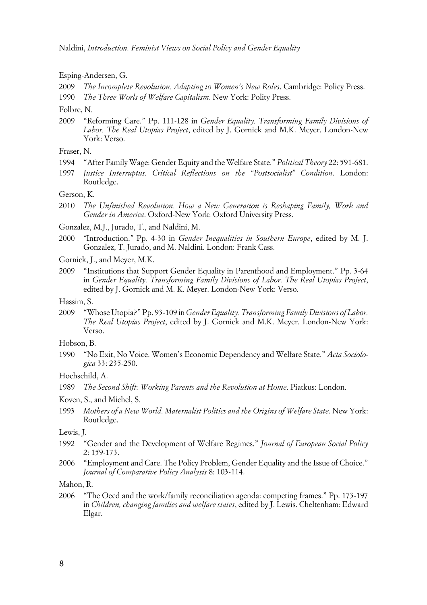Esping-Andersen, G.

2009 *The Incomplete Revolution. Adapting to Women's New Roles*. Cambridge: Policy Press.

1990 *The Three Worls of Welfare Capitalism*. New York: Polity Press.

Folbre, N.

2009 "Reforming Care." Pp. 111-128 in *Gender Equality. Transforming Family Divisions of Labor. The Real Utopias Project*, edited by J. Gornick and M.K. Meyer. London-New York: Verso.

Fraser, N.

- 1994 "After Family Wage: Gender Equity and the Welfare State." *Political Theory* 22: 591-681.
- 1997 *Justice Interruptus. Critical Reflections on the "Postsocialist" Condition*. London: Routledge.

Gerson, K.

- 2010 *The Unfinished Revolution. How a New Generation is Reshaping Family, Work and Gender in America*. Oxford-New York: Oxford University Press.
- Gonzalez, M.J., Jurado, T., and Naldini, M.
- 2000 *"*Introduction.*"* Pp. 4-30 in *Gender Inequalities in Southern Europe*, edited by M. J. Gonzalez, T. Jurado, and M. Naldini. London: Frank Cass.

Gornick, J., and Meyer, M.K.

2009 "Institutions that Support Gender Equality in Parenthood and Employment." Pp. 3-64 in *Gender Equality. Transforming Family Divisions of Labor. The Real Utopias Project*, edited by J. Gornick and M. K. Meyer. London-New York: Verso.

Hassim, S.

2009 "Whose Utopia?" Pp. 93-109 in *Gender Equality. Transforming Family Divisions of Labor. The Real Utopias Project*, edited by J. Gornick and M.K. Meyer. London-New York: Verso.

Hobson, B.

1990 "No Exit, No Voice. Women's Economic Dependency and Welfare State." *Acta Sociologica* 33: 235-250.

Hochschild, A.

Koven, S., and Michel, S.

1993 *Mothers of a New World. Maternalist Politics and the Origins of Welfare State*. New York: Routledge.

Lewis, J.

- 1992 "Gender and the Development of Welfare Regimes." *Journal of European Social Policy* 2: 159-173.
- 2006 "Employment and Care. The Policy Problem, Gender Equality and the Issue of Choice." *Journal of Comparative Policy Analysis* 8: 103-114.

Mahon, R.

2006 "The Oecd and the work/family reconciliation agenda: competing frames." Pp. 173-197 in *Children, changing families and welfare states*, edited by J. Lewis. Cheltenham: Edward Elgar.

<sup>1989</sup> *The Second Shift: Working Parents and the Revolution at Home*. Piatkus: London.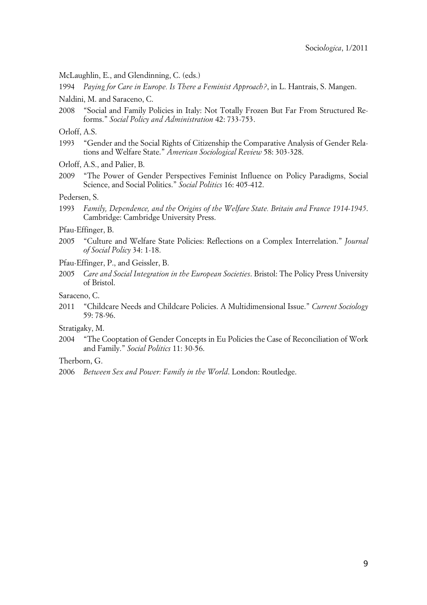McLaughlin, E., and Glendinning, C. (eds.)

1994 *Paying for Care in Europe. Is There a Feminist Approach?*, in L. Hantrais, S. Mangen.

- Naldini, M. and Saraceno, C.
- 2008 "Social and Family Policies in Italy: Not Totally Frozen But Far From Structured Reforms." *Social Policy and Administration* 42: 733-753.

Orloff, A.S.

1993 "Gender and the Social Rights of Citizenship the Comparative Analysis of Gender Relations and Welfare State." *American Sociological Review* 58: 303-328.

Orloff, A.S., and Palier, B.

2009 "The Power of Gender Perspectives Feminist Influence on Policy Paradigms, Social Science, and Social Politics." *Social Politics* 16: 405-412.

Pedersen, S.

1993 *Family, Dependence, and the Origins of the Welfare State. Britain and France 1914-1945*. Cambridge: Cambridge University Press.

Pfau-Effinger, B.

- 2005 "Culture and Welfare State Policies: Reflections on a Complex Interrelation." *Journal of Social Policy* 34: 1-18.
- Pfau-Effinger, P., and Geissler, B.
- 2005 *Care and Social Integration in the European Societies*. Bristol: The Policy Press University of Bristol.

Saraceno, C.

2011 "Childcare Needs and Childcare Policies. A Multidimensional Issue." *Current Sociology* 59: 78-96.

Stratigaky, M.

2004 "The Cooptation of Gender Concepts in Eu Policies the Case of Reconciliation of Work and Family." *Social Politics* 11: 30-56.

Therborn, G.

<sup>2006</sup> *Between Sex and Power: Family in the World*. London: Routledge.